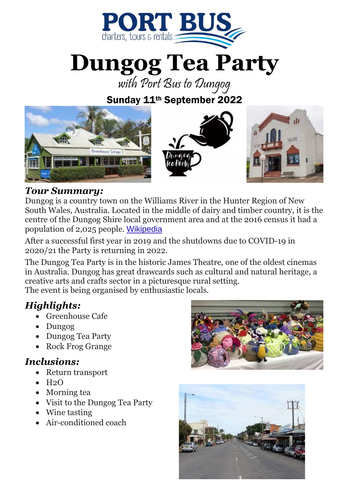

**Dungog Tea Party**

with Port Bus to Dungog

Sunday 11th September 2022



#### *Tour Summary:*

Dungog is a country town on the Williams River in the Hunter Region of New South Wales, Australia. Located in the middle of dairy and timber country, it is the centre of the Dungog Shire local government area and at the 2016 census it had a population of 2,025 people. [Wikipedia](https://en.wikipedia.org/wiki/Dungog,_New_South_Wales)

After a successful first year in 2019 and the shutdowns due to COVID-19 in 2020/21 the Party is returning in 2022.

The Dungog Tea Party is in the historic James Theatre, one of the oldest cinemas in Australia. Dungog has great drawcards such as cultural and natural heritage, a creative arts and crafts sector in a picturesque rural setting.

The event is being organised by enthusiastic locals.

# *Highlights:*

- Greenhouse Cafe
- Dungog
- Dungog Tea Party
- Rock Frog Grange

## *Inclusions:*

- Return transport
- $\bullet$  H<sub>2</sub>O
- Morning tea
- Visit to the Dungog Tea Party
- Wine tasting
- Air-conditioned coach